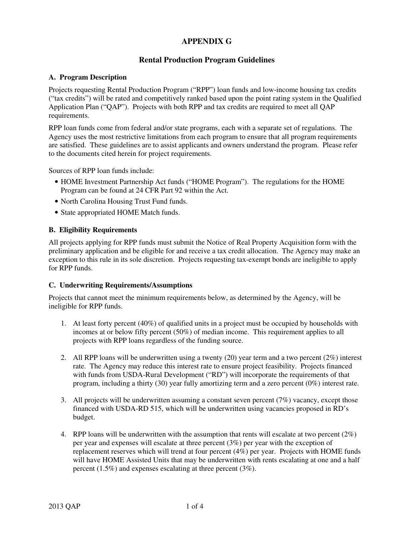# **APPENDIX G**

# **Rental Production Program Guidelines**

### **A. Program Description**

Projects requesting Rental Production Program ("RPP") loan funds and low-income housing tax credits ("tax credits") will be rated and competitively ranked based upon the point rating system in the Qualified Application Plan ("QAP"). Projects with both RPP and tax credits are required to meet all QAP requirements.

RPP loan funds come from federal and/or state programs, each with a separate set of regulations. The Agency uses the most restrictive limitations from each program to ensure that all program requirements are satisfied. These guidelines are to assist applicants and owners understand the program. Please refer to the documents cited herein for project requirements.

Sources of RPP loan funds include:

- HOME Investment Partnership Act funds ("HOME Program"). The regulations for the HOME Program can be found at 24 CFR Part 92 within the Act.
- North Carolina Housing Trust Fund funds.
- State appropriated HOME Match funds.

### **B. Eligibility Requirements**

All projects applying for RPP funds must submit the Notice of Real Property Acquisition form with the preliminary application and be eligible for and receive a tax credit allocation. The Agency may make an exception to this rule in its sole discretion. Projects requesting tax-exempt bonds are ineligible to apply for RPP funds.

#### **C. Underwriting Requirements/Assumptions**

Projects that cannot meet the minimum requirements below, as determined by the Agency, will be ineligible for RPP funds.

- 1. At least forty percent (40%) of qualified units in a project must be occupied by households with incomes at or below fifty percent (50%) of median income. This requirement applies to all projects with RPP loans regardless of the funding source.
- 2. All RPP loans will be underwritten using a twenty (20) year term and a two percent (2%) interest rate. The Agency may reduce this interest rate to ensure project feasibility. Projects financed with funds from USDA-Rural Development ("RD") will incorporate the requirements of that program, including a thirty (30) year fully amortizing term and a zero percent (0%) interest rate.
- 3. All projects will be underwritten assuming a constant seven percent (7%) vacancy, except those financed with USDA-RD 515, which will be underwritten using vacancies proposed in RD's budget.
- 4. RPP loans will be underwritten with the assumption that rents will escalate at two percent  $(2\%)$ per year and expenses will escalate at three percent (3%) per year with the exception of replacement reserves which will trend at four percent (4%) per year. Projects with HOME funds will have HOME Assisted Units that may be underwritten with rents escalating at one and a half percent (1.5%) and expenses escalating at three percent (3%).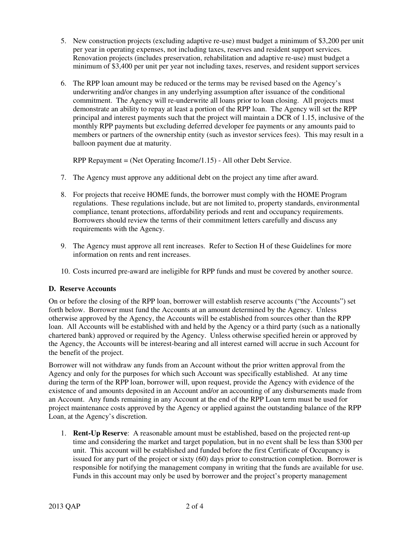- 5. New construction projects (excluding adaptive re-use) must budget a minimum of \$3,200 per unit per year in operating expenses, not including taxes, reserves and resident support services. Renovation projects (includes preservation, rehabilitation and adaptive re-use) must budget a minimum of \$3,400 per unit per year not including taxes, reserves, and resident support services
- 6. The RPP loan amount may be reduced or the terms may be revised based on the Agency's underwriting and/or changes in any underlying assumption after issuance of the conditional commitment. The Agency will re-underwrite all loans prior to loan closing. All projects must demonstrate an ability to repay at least a portion of the RPP loan. The Agency will set the RPP principal and interest payments such that the project will maintain a DCR of 1.15, inclusive of the monthly RPP payments but excluding deferred developer fee payments or any amounts paid to members or partners of the ownership entity (such as investor services fees). This may result in a balloon payment due at maturity.

RPP Repayment = (Net Operating Income/1.15) - All other Debt Service.

- 7. The Agency must approve any additional debt on the project any time after award.
- 8. For projects that receive HOME funds, the borrower must comply with the HOME Program regulations. These regulations include, but are not limited to, property standards, environmental compliance, tenant protections, affordability periods and rent and occupancy requirements. Borrowers should review the terms of their commitment letters carefully and discuss any requirements with the Agency.
- 9. The Agency must approve all rent increases. Refer to Section H of these Guidelines for more information on rents and rent increases.
- 10. Costs incurred pre-award are ineligible for RPP funds and must be covered by another source.

#### **D. Reserve Accounts**

On or before the closing of the RPP loan, borrower will establish reserve accounts ("the Accounts") set forth below. Borrower must fund the Accounts at an amount determined by the Agency. Unless otherwise approved by the Agency, the Accounts will be established from sources other than the RPP loan. All Accounts will be established with and held by the Agency or a third party (such as a nationally chartered bank) approved or required by the Agency. Unless otherwise specified herein or approved by the Agency, the Accounts will be interest-bearing and all interest earned will accrue in such Account for the benefit of the project.

Borrower will not withdraw any funds from an Account without the prior written approval from the Agency and only for the purposes for which such Account was specifically established. At any time during the term of the RPP loan, borrower will, upon request, provide the Agency with evidence of the existence of and amounts deposited in an Account and/or an accounting of any disbursements made from an Account. Any funds remaining in any Account at the end of the RPP Loan term must be used for project maintenance costs approved by the Agency or applied against the outstanding balance of the RPP Loan, at the Agency's discretion.

1. **Rent-Up Reserve**: A reasonable amount must be established, based on the projected rent-up time and considering the market and target population, but in no event shall be less than \$300 per unit. This account will be established and funded before the first Certificate of Occupancy is issued for any part of the project or sixty (60) days prior to construction completion. Borrower is responsible for notifying the management company in writing that the funds are available for use. Funds in this account may only be used by borrower and the project's property management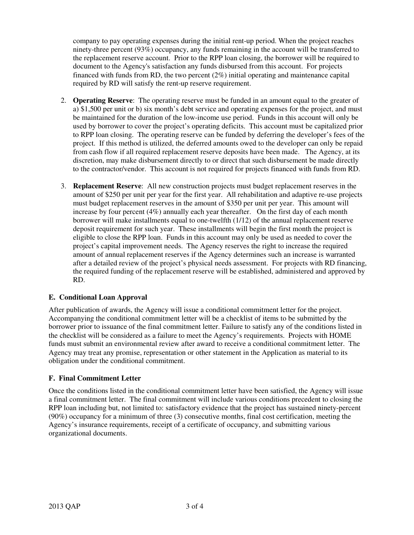company to pay operating expenses during the initial rent-up period. When the project reaches ninety-three percent (93%) occupancy, any funds remaining in the account will be transferred to the replacement reserve account. Prior to the RPP loan closing, the borrower will be required to document to the Agency's satisfaction any funds disbursed from this account. For projects financed with funds from RD, the two percent (2%) initial operating and maintenance capital required by RD will satisfy the rent-up reserve requirement.

- 2. **Operating Reserve**: The operating reserve must be funded in an amount equal to the greater of a) \$1,500 per unit or b) six month's debt service and operating expenses for the project, and must be maintained for the duration of the low-income use period. Funds in this account will only be used by borrower to cover the project's operating deficits. This account must be capitalized prior to RPP loan closing. The operating reserve can be funded by deferring the developer's fees of the project. If this method is utilized, the deferred amounts owed to the developer can only be repaid from cash flow if all required replacement reserve deposits have been made. The Agency, at its discretion, may make disbursement directly to or direct that such disbursement be made directly to the contractor/vendor. This account is not required for projects financed with funds from RD.
- 3. **Replacement Reserve**: All new construction projects must budget replacement reserves in the amount of \$250 per unit per year for the first year. All rehabilitation and adaptive re-use projects must budget replacement reserves in the amount of \$350 per unit per year. This amount will increase by four percent (4%) annually each year thereafter. On the first day of each month borrower will make installments equal to one-twelfth (1/12) of the annual replacement reserve deposit requirement for such year. These installments will begin the first month the project is eligible to close the RPP loan. Funds in this account may only be used as needed to cover the project's capital improvement needs. The Agency reserves the right to increase the required amount of annual replacement reserves if the Agency determines such an increase is warranted after a detailed review of the project's physical needs assessment. For projects with RD financing, the required funding of the replacement reserve will be established, administered and approved by RD.

## **E. Conditional Loan Approval**

After publication of awards, the Agency will issue a conditional commitment letter for the project. Accompanying the conditional commitment letter will be a checklist of items to be submitted by the borrower prior to issuance of the final commitment letter. Failure to satisfy any of the conditions listed in the checklist will be considered as a failure to meet the Agency's requirements. Projects with HOME funds must submit an environmental review after award to receive a conditional commitment letter. The Agency may treat any promise, representation or other statement in the Application as material to its obligation under the conditional commitment.

## **F. Final Commitment Letter**

Once the conditions listed in the conditional commitment letter have been satisfied, the Agency will issue a final commitment letter. The final commitment will include various conditions precedent to closing the RPP loan including but, not limited to: satisfactory evidence that the project has sustained ninety-percent (90%) occupancy for a minimum of three (3) consecutive months, final cost certification, meeting the Agency's insurance requirements, receipt of a certificate of occupancy, and submitting various organizational documents.